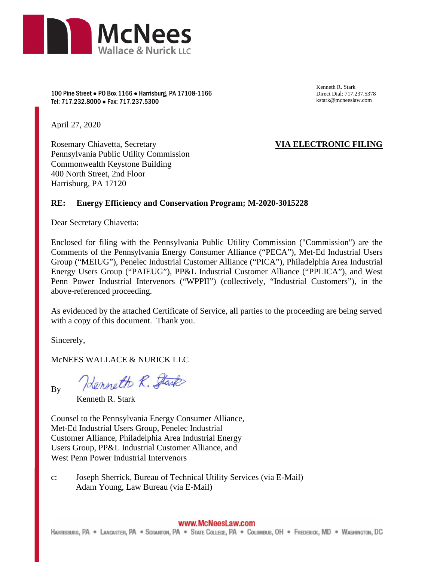

100 Pine Street ● PO Box 1166 ● Harrisburg, PA 17108-1166 Tel: 717.232.8000 ● Fax: 717.237.5300

Kenneth R. Stark Direct Dial: 717.237.5378 kstark@mcneeslaw.com

April 27, 2020

Rosemary Chiavetta, Secretary Pennsylvania Public Utility Commission Commonwealth Keystone Building 400 North Street, 2nd Floor Harrisburg, PA 17120

# **VIA ELECTRONIC FILING**

### **RE: Energy Efficiency and Conservation Program; M-2020-3015228**

Dear Secretary Chiavetta:

Enclosed for filing with the Pennsylvania Public Utility Commission ("Commission") are the Comments of the Pennsylvania Energy Consumer Alliance ("PECA"), Met-Ed Industrial Users Group ("MEIUG"), Penelec Industrial Customer Alliance ("PICA"), Philadelphia Area Industrial Energy Users Group ("PAIEUG"), PP&L Industrial Customer Alliance ("PPLICA"), and West Penn Power Industrial Intervenors ("WPPII") (collectively, "Industrial Customers"), in the above-referenced proceeding.

As evidenced by the attached Certificate of Service, all parties to the proceeding are being served with a copy of this document. Thank you.

Sincerely,

McNEES WALLACE & NURICK LLC

By

Henneth R. Stark

Kenneth R. Stark

Counsel to the Pennsylvania Energy Consumer Alliance, Met-Ed Industrial Users Group, Penelec Industrial Customer Alliance, Philadelphia Area Industrial Energy Users Group, PP&L Industrial Customer Alliance, and West Penn Power Industrial Intervenors

c: Joseph Sherrick, Bureau of Technical Utility Services (via E-Mail) Adam Young, Law Bureau (via E-Mail)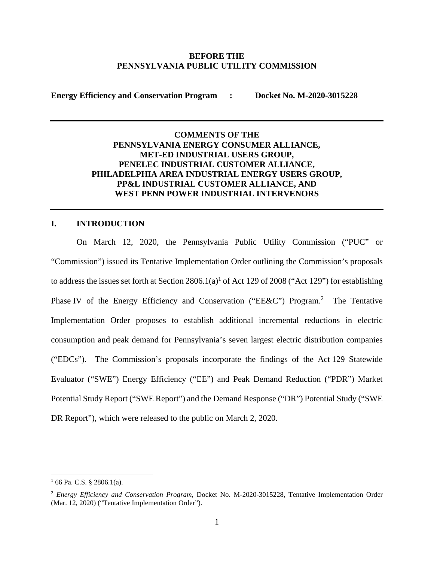#### **BEFORE THE PENNSYLVANIA PUBLIC UTILITY COMMISSION**

**Energy Efficiency and Conservation Program : Docket No. M-2020-3015228** 

# **COMMENTS OF THE PENNSYLVANIA ENERGY CONSUMER ALLIANCE, MET-ED INDUSTRIAL USERS GROUP, PENELEC INDUSTRIAL CUSTOMER ALLIANCE, PHILADELPHIA AREA INDUSTRIAL ENERGY USERS GROUP, PP&L INDUSTRIAL CUSTOMER ALLIANCE, AND WEST PENN POWER INDUSTRIAL INTERVENORS**

## **I. INTRODUCTION**

On March 12, 2020, the Pennsylvania Public Utility Commission ("PUC" or "Commission") issued its Tentative Implementation Order outlining the Commission's proposals to address the issues set forth at Section  $2806.1(a)$ <sup>1</sup> of Act 129 of 2008 ("Act 129") for establishing Phase IV of the Energy Efficiency and Conservation ("EE&C") Program.<sup>2</sup> The Tentative Implementation Order proposes to establish additional incremental reductions in electric consumption and peak demand for Pennsylvania's seven largest electric distribution companies ("EDCs"). The Commission's proposals incorporate the findings of the Act 129 Statewide Evaluator ("SWE") Energy Efficiency ("EE") and Peak Demand Reduction ("PDR") Market Potential Study Report ("SWE Report") and the Demand Response ("DR") Potential Study ("SWE DR Report"), which were released to the public on March 2, 2020.

 $1$  66 Pa. C.S. § 2806.1(a).

<sup>2</sup> *Energy Efficiency and Conservation Program*, Docket No. M-2020-3015228, Tentative Implementation Order (Mar. 12, 2020) ("Tentative Implementation Order").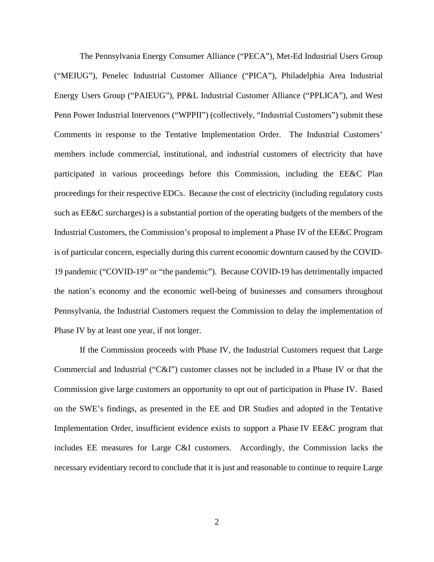The Pennsylvania Energy Consumer Alliance ("PECA"), Met-Ed Industrial Users Group ("MEIUG"), Penelec Industrial Customer Alliance ("PICA"), Philadelphia Area Industrial Energy Users Group ("PAIEUG"), PP&L Industrial Customer Alliance ("PPLICA"), and West Penn Power Industrial Intervenors ("WPPII") (collectively, "Industrial Customers") submit these Comments in response to the Tentative Implementation Order. The Industrial Customers' members include commercial, institutional, and industrial customers of electricity that have participated in various proceedings before this Commission, including the EE&C Plan proceedings for their respective EDCs. Because the cost of electricity (including regulatory costs such as EE&C surcharges) is a substantial portion of the operating budgets of the members of the Industrial Customers, the Commission's proposal to implement a Phase IV of the EE&C Program is of particular concern, especially during this current economic downturn caused by the COVID-19 pandemic ("COVID-19" or "the pandemic"). Because COVID-19 has detrimentally impacted the nation's economy and the economic well-being of businesses and consumers throughout Pennsylvania, the Industrial Customers request the Commission to delay the implementation of Phase IV by at least one year, if not longer.

If the Commission proceeds with Phase IV, the Industrial Customers request that Large Commercial and Industrial ("C&I") customer classes not be included in a Phase IV or that the Commission give large customers an opportunity to opt out of participation in Phase IV. Based on the SWE's findings, as presented in the EE and DR Studies and adopted in the Tentative Implementation Order, insufficient evidence exists to support a Phase IV EE&C program that includes EE measures for Large C&I customers. Accordingly, the Commission lacks the necessary evidentiary record to conclude that it is just and reasonable to continue to require Large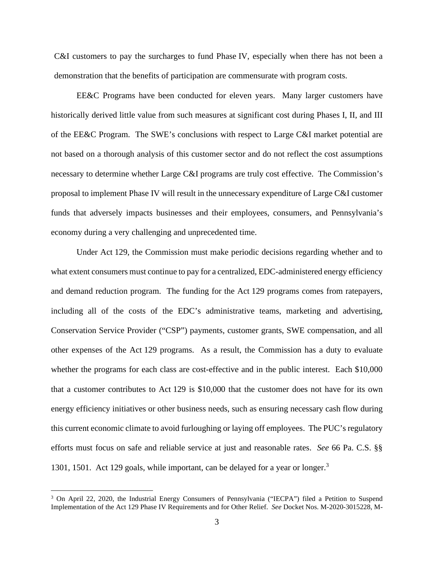C&I customers to pay the surcharges to fund Phase IV, especially when there has not been a demonstration that the benefits of participation are commensurate with program costs.

EE&C Programs have been conducted for eleven years. Many larger customers have historically derived little value from such measures at significant cost during Phases I, II, and III of the EE&C Program. The SWE's conclusions with respect to Large C&I market potential are not based on a thorough analysis of this customer sector and do not reflect the cost assumptions necessary to determine whether Large C&I programs are truly cost effective. The Commission's proposal to implement Phase IV will result in the unnecessary expenditure of Large C&I customer funds that adversely impacts businesses and their employees, consumers, and Pennsylvania's economy during a very challenging and unprecedented time.

Under Act 129, the Commission must make periodic decisions regarding whether and to what extent consumers must continue to pay for a centralized, EDC-administered energy efficiency and demand reduction program. The funding for the Act 129 programs comes from ratepayers, including all of the costs of the EDC's administrative teams, marketing and advertising, Conservation Service Provider ("CSP") payments, customer grants, SWE compensation, and all other expenses of the Act 129 programs. As a result, the Commission has a duty to evaluate whether the programs for each class are cost-effective and in the public interest. Each \$10,000 that a customer contributes to Act 129 is \$10,000 that the customer does not have for its own energy efficiency initiatives or other business needs, such as ensuring necessary cash flow during this current economic climate to avoid furloughing or laying off employees. The PUC's regulatory efforts must focus on safe and reliable service at just and reasonable rates. *See* 66 Pa. C.S. §§ 1301, 1501. Act 129 goals, while important, can be delayed for a year or longer.<sup>3</sup>

<sup>&</sup>lt;sup>3</sup> On April 22, 2020, the Industrial Energy Consumers of Pennsylvania ("IECPA") filed a Petition to Suspend Implementation of the Act 129 Phase IV Requirements and for Other Relief. *See* Docket Nos. M-2020-3015228, M-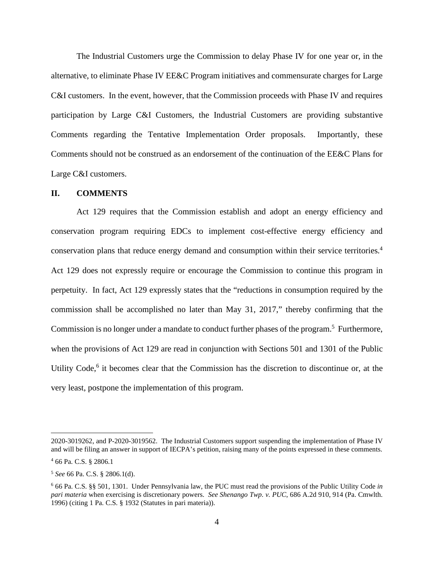The Industrial Customers urge the Commission to delay Phase IV for one year or, in the alternative, to eliminate Phase IV EE&C Program initiatives and commensurate charges for Large C&I customers. In the event, however, that the Commission proceeds with Phase IV and requires participation by Large C&I Customers, the Industrial Customers are providing substantive Comments regarding the Tentative Implementation Order proposals. Importantly, these Comments should not be construed as an endorsement of the continuation of the EE&C Plans for Large C&I customers.

#### **II. COMMENTS**

Act 129 requires that the Commission establish and adopt an energy efficiency and conservation program requiring EDCs to implement cost-effective energy efficiency and conservation plans that reduce energy demand and consumption within their service territories.<sup>4</sup> Act 129 does not expressly require or encourage the Commission to continue this program in perpetuity. In fact, Act 129 expressly states that the "reductions in consumption required by the commission shall be accomplished no later than May 31, 2017," thereby confirming that the Commission is no longer under a mandate to conduct further phases of the program.<sup>5</sup> Furthermore, when the provisions of Act 129 are read in conjunction with Sections 501 and 1301 of the Public Utility Code,<sup>6</sup> it becomes clear that the Commission has the discretion to discontinue or, at the very least, postpone the implementation of this program.

<sup>2020-3019262,</sup> and P-2020-3019562. The Industrial Customers support suspending the implementation of Phase IV and will be filing an answer in support of IECPA's petition, raising many of the points expressed in these comments.

<sup>4</sup> 66 Pa. C.S. § 2806.1

<sup>5</sup> *See* 66 Pa. C.S. § 2806.1(d).

<sup>6</sup> 66 Pa. C.S. §§ 501, 1301. Under Pennsylvania law, the PUC must read the provisions of the Public Utility Code *in pari materia* when exercising is discretionary powers. *See Shenango Twp. v. PUC*, 686 A.2d 910, 914 (Pa. Cmwlth. 1996) (citing 1 Pa. C.S. § 1932 (Statutes in pari materia)).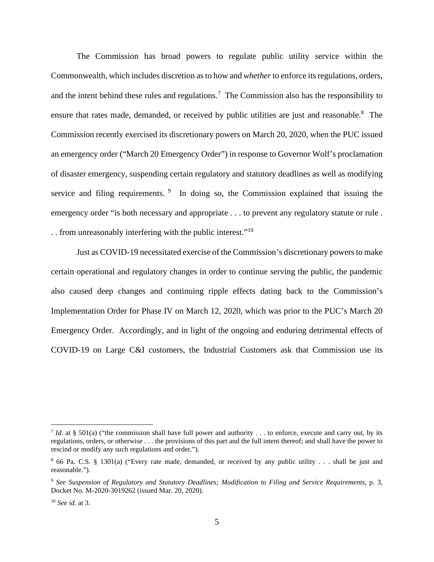The Commission has broad powers to regulate public utility service within the Commonwealth, which includes discretion as to how and *whether* to enforce its regulations, orders, and the intent behind these rules and regulations.<sup>7</sup> The Commission also has the responsibility to ensure that rates made, demanded, or received by public utilities are just and reasonable.<sup>8</sup> The Commission recently exercised its discretionary powers on March 20, 2020, when the PUC issued an emergency order ("March 20 Emergency Order") in response to Governor Wolf's proclamation of disaster emergency, suspending certain regulatory and statutory deadlines as well as modifying service and filing requirements.  $9\%$  In doing so, the Commission explained that issuing the emergency order "is both necessary and appropriate . . . to prevent any regulatory statute or rule . . . from unreasonably interfering with the public interest."<sup>10</sup>

Just as COVID-19 necessitated exercise of the Commission's discretionary powers to make certain operational and regulatory changes in order to continue serving the public, the pandemic also caused deep changes and continuing ripple effects dating back to the Commission's Implementation Order for Phase IV on March 12, 2020, which was prior to the PUC's March 20 Emergency Order. Accordingly, and in light of the ongoing and enduring detrimental effects of COVID-19 on Large C&I customers, the Industrial Customers ask that Commission use its

*Id.* at § 501(a) ("the commission shall have full power and authority . . . to enforce, execute and carry out, by its regulations, orders, or otherwise . . . the provisions of this part and the full intent thereof; and shall have the power to rescind or modify any such regulations and order.").

<sup>8</sup> 66 Pa. C.S. § 1301(a) ("Every rate made, demanded, or received by any public utility . . . shall be just and reasonable.").

<sup>9</sup> *See Suspension of Regulatory and Statutory Deadlines; Modification to Filing and Service Requirements*, p. 3, Docket No. M-2020-3019262 (issued Mar. 20, 2020).

<sup>10</sup> *See id.* at 3.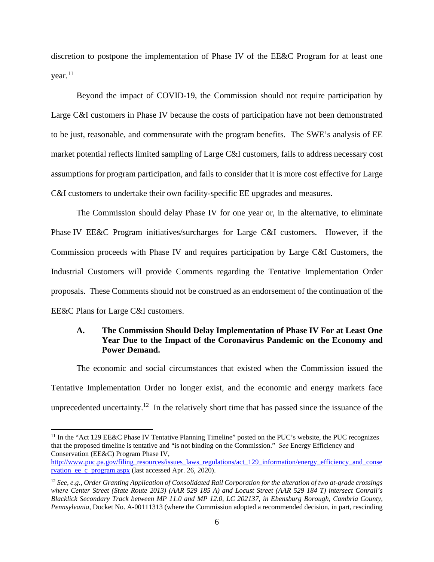discretion to postpone the implementation of Phase IV of the EE&C Program for at least one  $year<sup>11</sup>$ 

Beyond the impact of COVID-19, the Commission should not require participation by Large C&I customers in Phase IV because the costs of participation have not been demonstrated to be just, reasonable, and commensurate with the program benefits. The SWE's analysis of EE market potential reflects limited sampling of Large C&I customers, fails to address necessary cost assumptions for program participation, and fails to consider that it is more cost effective for Large C&I customers to undertake their own facility-specific EE upgrades and measures.

The Commission should delay Phase IV for one year or, in the alternative, to eliminate Phase IV EE&C Program initiatives/surcharges for Large C&I customers. However, if the Commission proceeds with Phase IV and requires participation by Large C&I Customers, the Industrial Customers will provide Comments regarding the Tentative Implementation Order proposals. These Comments should not be construed as an endorsement of the continuation of the EE&C Plans for Large C&I customers.

# **A. The Commission Should Delay Implementation of Phase IV For at Least One Year Due to the Impact of the Coronavirus Pandemic on the Economy and Power Demand.**

The economic and social circumstances that existed when the Commission issued the Tentative Implementation Order no longer exist, and the economic and energy markets face unprecedented uncertainty.<sup>12</sup> In the relatively short time that has passed since the issuance of the

<sup>&</sup>lt;sup>11</sup> In the "Act 129 EE&C Phase IV Tentative Planning Timeline" posted on the PUC's website, the PUC recognizes that the proposed timeline is tentative and "is not binding on the Commission." *See* Energy Efficiency and Conservation (EE&C) Program Phase IV,

http://www.puc.pa.gov/filing\_resources/issues\_laws\_regulations/act\_129\_information/energy\_efficiency\_and\_conse rvation ee c program.aspx (last accessed Apr. 26, 2020).

<sup>12</sup> *See, e.g., Order Granting Application of Consolidated Rail Corporation for the alteration of two at-grade crossings where Center Street (State Route 2013) (AAR 529 185 A) and Locust Street (AAR 529 184 T) intersect Conrail's Blacklick Secondary Track between MP 11.0 and MP 12.0, LC 202137, in Ebensburg Borough, Cambria County, Pennsylvania*, Docket No. A-00111313 (where the Commission adopted a recommended decision, in part, rescinding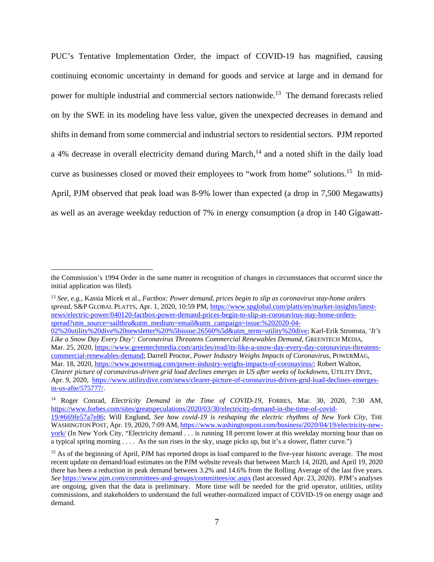PUC's Tentative Implementation Order, the impact of COVID-19 has magnified, causing continuing economic uncertainty in demand for goods and service at large and in demand for power for multiple industrial and commercial sectors nationwide.<sup>13</sup> The demand forecasts relied on by the SWE in its modeling have less value, given the unexpected decreases in demand and shifts in demand from some commercial and industrial sectors to residential sectors. PJM reported a 4% decrease in overall electricity demand during March, $<sup>14</sup>$  and a noted shift in the daily load</sup> curve as businesses closed or moved their employees to "work from home" solutions.<sup>15</sup> In mid-April, PJM observed that peak load was 8-9% lower than expected (a drop in 7,500 Megawatts) as well as an average weekday reduction of 7% in energy consumption (a drop in 140 Gigawatt-

<sup>13</sup> *See, e.g.,* Kassia Micek et al., *Factbox: Power demand, prices begin to slip as coronavirus stay-home orders spread*, S&P GLOBAL PLATTS, Apr. 1, 2020, 10:59 PM, https://www.spglobal.com/platts/en/market-insights/latestnews/electric-power/040120-factbox-power-demand-prices-begin-to-slip-as-coronavirus-stay-home-ordersspread?utm\_source=sailthru&utm\_medium=email&utm\_campaign=issue:%202020-04-

the Commission's 1994 Order in the same matter in recognition of changes in circumstances that occurred since the initial application was filed).

<sup>02%20</sup>utility%20dive%20newsletter%20%5bissue:26560%5d&utm\_term=utility%20dive; Karl-Erik Stromsta, *'It's Like a Snow Day Every Day': Coronavirus Threatens Commercial Renewables Demand*, GREENTECH MEDIA, Mar. 25, 2020, https://www.greentechmedia.com/articles/read/its-like-a-snow-day-every-day-coronavirus-threatenscommercial-renewables-demand; Darrell Proctor, *Power Industry Weighs Impacts of Coronavirus*, POWERMAG, Mar. 18, 2020, https://www.powermag.com/power-industry-weighs-impacts-of-coronavirus/; Robert Walton, *Clearer picture of coronavirus-driven grid load declines emerges in US after weeks of lockdowns*, UTILITY DIVE, Apr. 9, 2020, https://www.utilitydive.com/news/clearer-picture-of-coronavirus-driven-grid-load-declines-emergesin-us-afte/575777/.

<sup>14</sup> Roger Conrad, *Electricity Demand in the Time of COVID-19*, FORBES, Mar. 30, 2020, 7:30 AM, https://www.forbes.com/sites/greatspeculations/2020/03/30/electricity-demand-in-the-time-of-covid-19/#669fe57a7e86; Will Englund, *See how covid-19 is reshaping the electric rhythms of New York City*, THE WASHINGTON POST, Apr. 19, 2020, 7:09 AM, https://www.washingtonpost.com/business/2020/04/19/electricity-new $york/$  (In New York City, "Electricity demand  $\dots$  is running 18 percent lower at this weekday morning hour than on a typical spring morning . . . . As the sun rises in the sky, usage picks up, but it's a slower, flatter curve.")

<sup>&</sup>lt;sup>15</sup> As of the beginning of April, PJM has reported drops in load compared to the five-year historic average. The most recent update on demand/load estimates on the PJM website reveals that between March 14, 2020, and April 19, 2020 there has been a reduction in peak demand between 3.2% and 14.6% from the Rolling Average of the last five years. *See* https://www.pjm.com/committees-and-groups/committees/oc.aspx (last accessed Apr. 23, 2020). PJM's analyses are ongoing, given that the data is preliminary. More time will be needed for the grid operator, utilities, utility commissions, and stakeholders to understand the full weather-normalized impact of COVID-19 on energy usage and demand.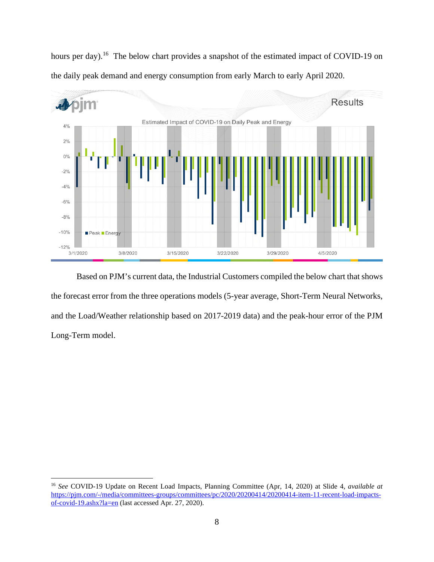hours per day).<sup>16</sup> The below chart provides a snapshot of the estimated impact of COVID-19 on the daily peak demand and energy consumption from early March to early April 2020.



Based on PJM's current data, the Industrial Customers compiled the below chart that shows the forecast error from the three operations models (5-year average, Short-Term Neural Networks, and the Load/Weather relationship based on 2017-2019 data) and the peak-hour error of the PJM Long-Term model.

<sup>16</sup> *See* COVID-19 Update on Recent Load Impacts, Planning Committee (Apr, 14, 2020) at Slide 4, *available at* https://pjm.com/-/media/committees-groups/committees/pc/2020/20200414/20200414-item-11-recent-load-impactsof-covid-19.ashx?la=en (last accessed Apr. 27, 2020).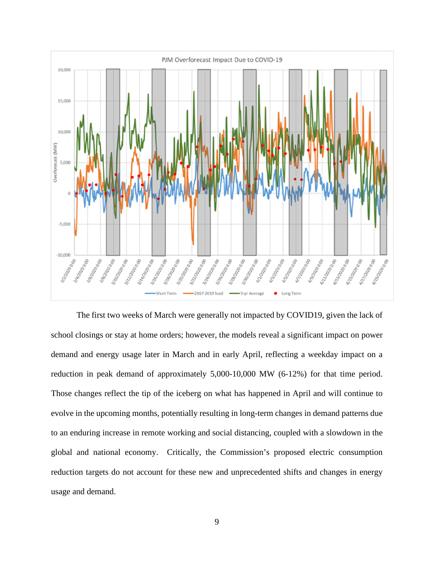

The first two weeks of March were generally not impacted by COVID19, given the lack of school closings or stay at home orders; however, the models reveal a significant impact on power demand and energy usage later in March and in early April, reflecting a weekday impact on a reduction in peak demand of approximately 5,000-10,000 MW (6-12%) for that time period. Those changes reflect the tip of the iceberg on what has happened in April and will continue to evolve in the upcoming months, potentially resulting in long-term changes in demand patterns due to an enduring increase in remote working and social distancing, coupled with a slowdown in the global and national economy. Critically, the Commission's proposed electric consumption reduction targets do not account for these new and unprecedented shifts and changes in energy usage and demand.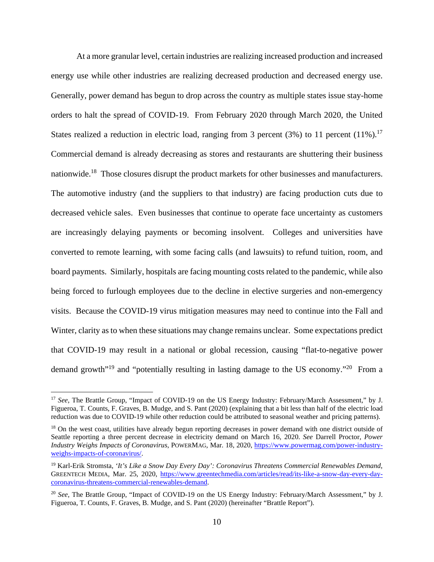At a more granular level, certain industries are realizing increased production and increased energy use while other industries are realizing decreased production and decreased energy use. Generally, power demand has begun to drop across the country as multiple states issue stay-home orders to halt the spread of COVID-19. From February 2020 through March 2020, the United States realized a reduction in electric load, ranging from 3 percent (3%) to 11 percent (11%).<sup>17</sup> Commercial demand is already decreasing as stores and restaurants are shuttering their business nationwide.<sup>18</sup> Those closures disrupt the product markets for other businesses and manufacturers. The automotive industry (and the suppliers to that industry) are facing production cuts due to decreased vehicle sales. Even businesses that continue to operate face uncertainty as customers are increasingly delaying payments or becoming insolvent. Colleges and universities have converted to remote learning, with some facing calls (and lawsuits) to refund tuition, room, and board payments. Similarly, hospitals are facing mounting costs related to the pandemic, while also being forced to furlough employees due to the decline in elective surgeries and non-emergency visits. Because the COVID-19 virus mitigation measures may need to continue into the Fall and Winter, clarity as to when these situations may change remains unclear. Some expectations predict that COVID-19 may result in a national or global recession, causing "flat-to-negative power demand growth"<sup>19</sup> and "potentially resulting in lasting damage to the US economy."<sup>20</sup> From a

<sup>17</sup> *See*, The Brattle Group, "Impact of COVID-19 on the US Energy Industry: February/March Assessment," by J. Figueroa, T. Counts, F. Graves, B. Mudge, and S. Pant (2020) (explaining that a bit less than half of the electric load reduction was due to COVID-19 while other reduction could be attributed to seasonal weather and pricing patterns).

<sup>&</sup>lt;sup>18</sup> On the west coast, utilities have already begun reporting decreases in power demand with one district outside of Seattle reporting a three percent decrease in electricity demand on March 16, 2020. *See* Darrell Proctor, *Power Industry Weighs Impacts of Coronavirus*, POWERMAG, Mar. 18, 2020, https://www.powermag.com/power-industryweighs-impacts-of-coronavirus/.

<sup>19</sup> Karl-Erik Stromsta, *'It's Like a Snow Day Every Day': Coronavirus Threatens Commercial Renewables Demand*, GREENTECH MEDIA, Mar. 25, 2020, https://www.greentechmedia.com/articles/read/its-like-a-snow-day-every-daycoronavirus-threatens-commercial-renewables-demand.

<sup>20</sup> *See*, The Brattle Group, "Impact of COVID-19 on the US Energy Industry: February/March Assessment," by J. Figueroa, T. Counts, F. Graves, B. Mudge, and S. Pant (2020) (hereinafter "Brattle Report").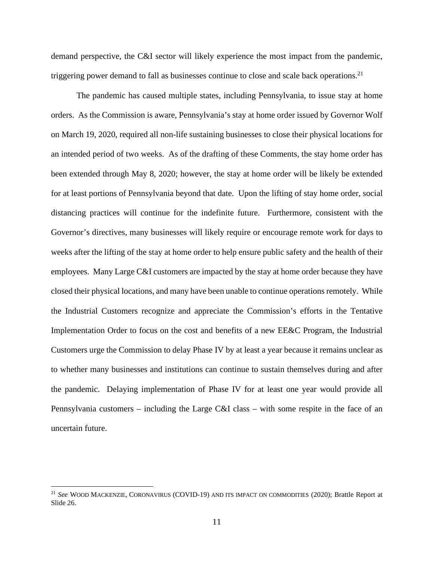demand perspective, the C&I sector will likely experience the most impact from the pandemic, triggering power demand to fall as businesses continue to close and scale back operations.<sup>21</sup>

The pandemic has caused multiple states, including Pennsylvania, to issue stay at home orders. As the Commission is aware, Pennsylvania's stay at home order issued by Governor Wolf on March 19, 2020, required all non-life sustaining businesses to close their physical locations for an intended period of two weeks. As of the drafting of these Comments, the stay home order has been extended through May 8, 2020; however, the stay at home order will be likely be extended for at least portions of Pennsylvania beyond that date. Upon the lifting of stay home order, social distancing practices will continue for the indefinite future. Furthermore, consistent with the Governor's directives, many businesses will likely require or encourage remote work for days to weeks after the lifting of the stay at home order to help ensure public safety and the health of their employees. Many Large C&I customers are impacted by the stay at home order because they have closed their physical locations, and many have been unable to continue operations remotely. While the Industrial Customers recognize and appreciate the Commission's efforts in the Tentative Implementation Order to focus on the cost and benefits of a new EE&C Program, the Industrial Customers urge the Commission to delay Phase IV by at least a year because it remains unclear as to whether many businesses and institutions can continue to sustain themselves during and after the pandemic. Delaying implementation of Phase IV for at least one year would provide all Pennsylvania customers – including the Large C&I class – with some respite in the face of an uncertain future.

<sup>21</sup> *See* WOOD MACKENZIE, CORONAVIRUS (COVID-19) AND ITS IMPACT ON COMMODITIES (2020); Brattle Report at Slide 26.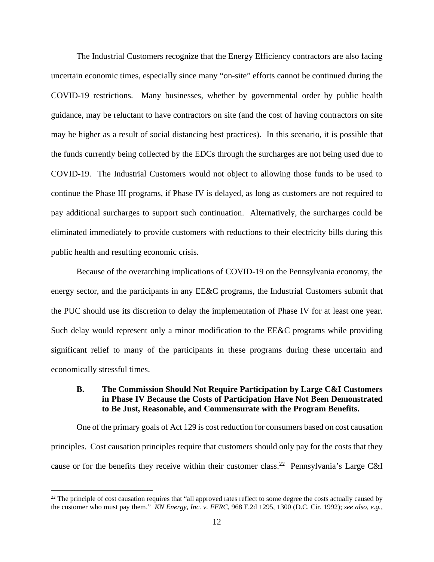The Industrial Customers recognize that the Energy Efficiency contractors are also facing uncertain economic times, especially since many "on-site" efforts cannot be continued during the COVID-19 restrictions. Many businesses, whether by governmental order by public health guidance, may be reluctant to have contractors on site (and the cost of having contractors on site may be higher as a result of social distancing best practices). In this scenario, it is possible that the funds currently being collected by the EDCs through the surcharges are not being used due to COVID-19. The Industrial Customers would not object to allowing those funds to be used to continue the Phase III programs, if Phase IV is delayed, as long as customers are not required to pay additional surcharges to support such continuation. Alternatively, the surcharges could be eliminated immediately to provide customers with reductions to their electricity bills during this public health and resulting economic crisis.

Because of the overarching implications of COVID-19 on the Pennsylvania economy, the energy sector, and the participants in any EE&C programs, the Industrial Customers submit that the PUC should use its discretion to delay the implementation of Phase IV for at least one year. Such delay would represent only a minor modification to the EE&C programs while providing significant relief to many of the participants in these programs during these uncertain and economically stressful times.

### **B. The Commission Should Not Require Participation by Large C&I Customers in Phase IV Because the Costs of Participation Have Not Been Demonstrated to Be Just, Reasonable, and Commensurate with the Program Benefits.**

One of the primary goals of Act 129 is cost reduction for consumers based on cost causation principles. Cost causation principles require that customers should only pay for the costs that they cause or for the benefits they receive within their customer class.<sup>22</sup> Pennsylvania's Large C&I

 $22$  The principle of cost causation requires that "all approved rates reflect to some degree the costs actually caused by the customer who must pay them." *KN Energy, Inc. v. FERC*, 968 F.2d 1295, 1300 (D.C. Cir. 1992); *see also, e.g.,*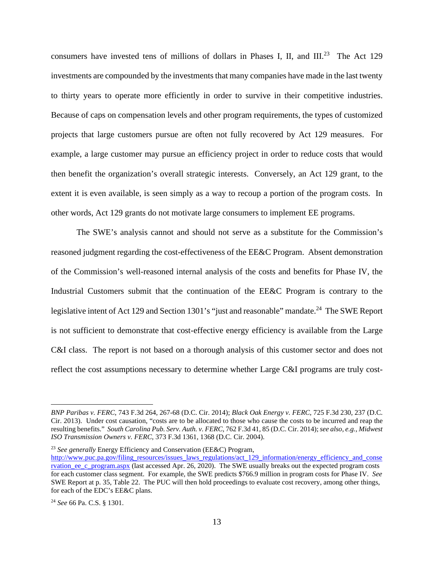consumers have invested tens of millions of dollars in Phases I, II, and III.<sup>23</sup> The Act 129 investments are compounded by the investments that many companies have made in the last twenty to thirty years to operate more efficiently in order to survive in their competitive industries. Because of caps on compensation levels and other program requirements, the types of customized projects that large customers pursue are often not fully recovered by Act 129 measures. For example, a large customer may pursue an efficiency project in order to reduce costs that would then benefit the organization's overall strategic interests. Conversely, an Act 129 grant, to the extent it is even available, is seen simply as a way to recoup a portion of the program costs. In other words, Act 129 grants do not motivate large consumers to implement EE programs.

The SWE's analysis cannot and should not serve as a substitute for the Commission's reasoned judgment regarding the cost-effectiveness of the EE&C Program. Absent demonstration of the Commission's well-reasoned internal analysis of the costs and benefits for Phase IV, the Industrial Customers submit that the continuation of the EE&C Program is contrary to the legislative intent of Act 129 and Section 1301's "just and reasonable" mandate.<sup>24</sup> The SWE Report is not sufficient to demonstrate that cost-effective energy efficiency is available from the Large C&I class. The report is not based on a thorough analysis of this customer sector and does not reflect the cost assumptions necessary to determine whether Large C&I programs are truly cost-

<sup>23</sup> *See generally* Energy Efficiency and Conservation (EE&C) Program,

*BNP Paribas v. FERC*, 743 F.3d 264, 267-68 (D.C. Cir. 2014); *Black Oak Energy v. FERC*, 725 F.3d 230, 237 (D.C. Cir. 2013). Under cost causation, "costs are to be allocated to those who cause the costs to be incurred and reap the resulting benefits." *South Carolina Pub. Serv. Auth. v. FERC*, 762 F.3d 41, 85 (D.C. Cir. 2014); *see also, e.g., Midwest ISO Transmission Owners v. FERC*, 373 F.3d 1361, 1368 (D.C. Cir. 2004).

http://www.puc.pa.gov/filing\_resources/issues\_laws\_regulations/act\_129\_information/energy\_efficiency\_and\_conse rvation ee c\_program.aspx (last accessed Apr. 26, 2020). The SWE usually breaks out the expected program costs for each customer class segment. For example, the SWE predicts \$766.9 million in program costs for Phase IV. *See* SWE Report at p. 35, Table 22. The PUC will then hold proceedings to evaluate cost recovery, among other things, for each of the EDC's EE&C plans.

<sup>24</sup> *See* 66 Pa. C.S. § 1301.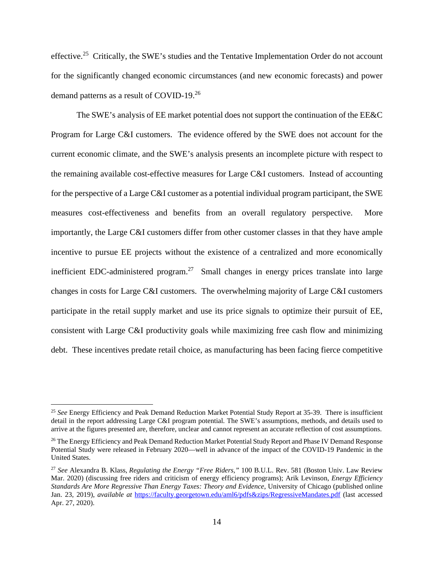effective.<sup>25</sup> Critically, the SWE's studies and the Tentative Implementation Order do not account for the significantly changed economic circumstances (and new economic forecasts) and power demand patterns as a result of COVID-19.<sup>26</sup>

The SWE's analysis of EE market potential does not support the continuation of the EE&C Program for Large C&I customers. The evidence offered by the SWE does not account for the current economic climate, and the SWE's analysis presents an incomplete picture with respect to the remaining available cost-effective measures for Large C&I customers. Instead of accounting for the perspective of a Large C&I customer as a potential individual program participant, the SWE measures cost-effectiveness and benefits from an overall regulatory perspective. More importantly, the Large C&I customers differ from other customer classes in that they have ample incentive to pursue EE projects without the existence of a centralized and more economically inefficient EDC-administered program.<sup>27</sup> Small changes in energy prices translate into large changes in costs for Large C&I customers. The overwhelming majority of Large C&I customers participate in the retail supply market and use its price signals to optimize their pursuit of EE, consistent with Large C&I productivity goals while maximizing free cash flow and minimizing debt. These incentives predate retail choice, as manufacturing has been facing fierce competitive

<sup>25</sup> *See* Energy Efficiency and Peak Demand Reduction Market Potential Study Report at 35-39. There is insufficient detail in the report addressing Large C&I program potential. The SWE's assumptions, methods, and details used to arrive at the figures presented are, therefore, unclear and cannot represent an accurate reflection of cost assumptions.

<sup>&</sup>lt;sup>26</sup> The Energy Efficiency and Peak Demand Reduction Market Potential Study Report and Phase IV Demand Response Potential Study were released in February 2020—well in advance of the impact of the COVID-19 Pandemic in the United States.

<sup>27</sup> *See* Alexandra B. Klass, *Regulating the Energy "Free Riders,"* 100 B.U.L. Rev. 581 (Boston Univ. Law Review Mar. 2020) (discussing free riders and criticism of energy efficiency programs); Arik Levinson, *Energy Efficiency Standards Are More Regressive Than Energy Taxes: Theory and Evidence*, University of Chicago (published online Jan. 23, 2019), *available at* https://faculty.georgetown.edu/aml6/pdfs&zips/RegressiveMandates.pdf (last accessed Apr. 27, 2020).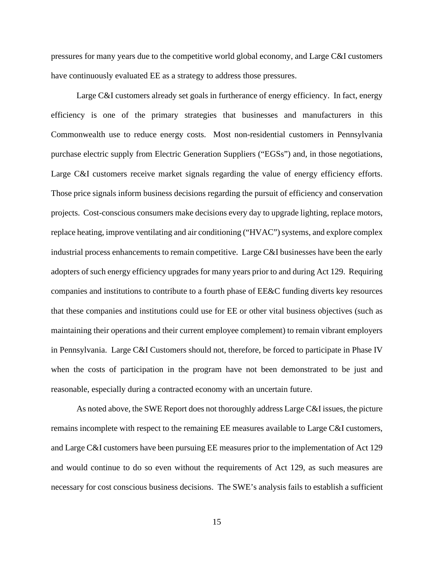pressures for many years due to the competitive world global economy, and Large C&I customers have continuously evaluated EE as a strategy to address those pressures.

Large C&I customers already set goals in furtherance of energy efficiency. In fact, energy efficiency is one of the primary strategies that businesses and manufacturers in this Commonwealth use to reduce energy costs. Most non-residential customers in Pennsylvania purchase electric supply from Electric Generation Suppliers ("EGSs") and, in those negotiations, Large C&I customers receive market signals regarding the value of energy efficiency efforts. Those price signals inform business decisions regarding the pursuit of efficiency and conservation projects. Cost-conscious consumers make decisions every day to upgrade lighting, replace motors, replace heating, improve ventilating and air conditioning ("HVAC") systems, and explore complex industrial process enhancements to remain competitive. Large C&I businesses have been the early adopters of such energy efficiency upgrades for many years prior to and during Act 129. Requiring companies and institutions to contribute to a fourth phase of EE&C funding diverts key resources that these companies and institutions could use for EE or other vital business objectives (such as maintaining their operations and their current employee complement) to remain vibrant employers in Pennsylvania. Large C&I Customers should not, therefore, be forced to participate in Phase IV when the costs of participation in the program have not been demonstrated to be just and reasonable, especially during a contracted economy with an uncertain future.

As noted above, the SWE Report does not thoroughly address Large C&I issues, the picture remains incomplete with respect to the remaining EE measures available to Large C&I customers, and Large C&I customers have been pursuing EE measures prior to the implementation of Act 129 and would continue to do so even without the requirements of Act 129, as such measures are necessary for cost conscious business decisions. The SWE's analysis fails to establish a sufficient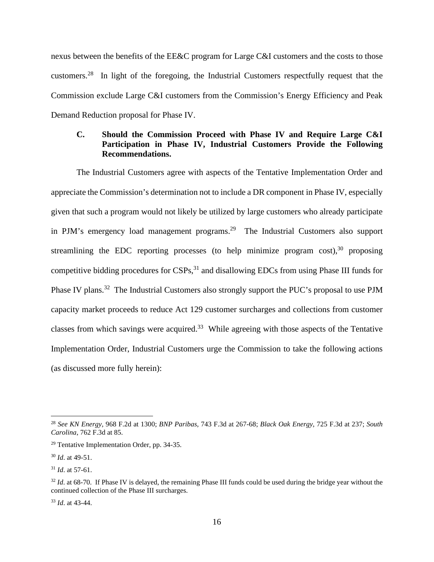nexus between the benefits of the EE&C program for Large C&I customers and the costs to those customers.<sup>28</sup> In light of the foregoing, the Industrial Customers respectfully request that the Commission exclude Large C&I customers from the Commission's Energy Efficiency and Peak Demand Reduction proposal for Phase IV.

# **C. Should the Commission Proceed with Phase IV and Require Large C&I Participation in Phase IV, Industrial Customers Provide the Following Recommendations.**

The Industrial Customers agree with aspects of the Tentative Implementation Order and appreciate the Commission's determination not to include a DR component in Phase IV, especially given that such a program would not likely be utilized by large customers who already participate in PJM's emergency load management programs.<sup>29</sup> The Industrial Customers also support streamlining the EDC reporting processes (to help minimize program cost),  $30$  proposing competitive bidding procedures for  $CSPs$ ,  $31$  and disallowing EDCs from using Phase III funds for Phase IV plans.<sup>32</sup> The Industrial Customers also strongly support the PUC's proposal to use PJM capacity market proceeds to reduce Act 129 customer surcharges and collections from customer classes from which savings were acquired.<sup>33</sup> While agreeing with those aspects of the Tentative Implementation Order, Industrial Customers urge the Commission to take the following actions (as discussed more fully herein):

<sup>33</sup> *Id*. at 43-44.

<sup>28</sup> *See KN Energy,* 968 F.2d at 1300; *BNP Paribas,* 743 F.3d at 267-68; *Black Oak Energy*, 725 F.3d at 237; *South Carolina*, 762 F.3d at 85.

<sup>29</sup> Tentative Implementation Order, pp. 34-35.

<sup>30</sup> *Id*. at 49-51.

<sup>31</sup> *Id*. at 57-61.

<sup>&</sup>lt;sup>32</sup> *Id.* at 68-70. If Phase IV is delayed, the remaining Phase III funds could be used during the bridge year without the continued collection of the Phase III surcharges.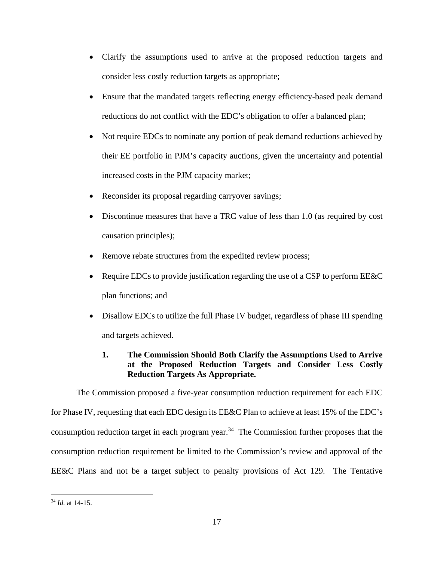- Clarify the assumptions used to arrive at the proposed reduction targets and consider less costly reduction targets as appropriate;
- Ensure that the mandated targets reflecting energy efficiency-based peak demand reductions do not conflict with the EDC's obligation to offer a balanced plan;
- Not require EDCs to nominate any portion of peak demand reductions achieved by their EE portfolio in PJM's capacity auctions, given the uncertainty and potential increased costs in the PJM capacity market;
- Reconsider its proposal regarding carryover savings;
- Discontinue measures that have a TRC value of less than 1.0 (as required by cost causation principles);
- Remove rebate structures from the expedited review process;
- Require EDCs to provide justification regarding the use of a CSP to perform EE&C plan functions; and
- Disallow EDCs to utilize the full Phase IV budget, regardless of phase III spending and targets achieved.

# **1. The Commission Should Both Clarify the Assumptions Used to Arrive at the Proposed Reduction Targets and Consider Less Costly Reduction Targets As Appropriate.**

The Commission proposed a five-year consumption reduction requirement for each EDC for Phase IV, requesting that each EDC design its EE&C Plan to achieve at least 15% of the EDC's consumption reduction target in each program year.<sup>34</sup> The Commission further proposes that the consumption reduction requirement be limited to the Commission's review and approval of the EE&C Plans and not be a target subject to penalty provisions of Act 129. The Tentative

<sup>34</sup> *Id.* at 14-15.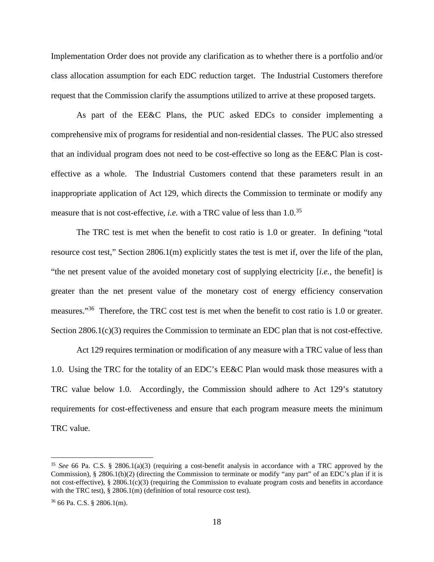Implementation Order does not provide any clarification as to whether there is a portfolio and/or class allocation assumption for each EDC reduction target. The Industrial Customers therefore request that the Commission clarify the assumptions utilized to arrive at these proposed targets.

As part of the EE&C Plans, the PUC asked EDCs to consider implementing a comprehensive mix of programs for residential and non-residential classes. The PUC also stressed that an individual program does not need to be cost-effective so long as the EE&C Plan is costeffective as a whole. The Industrial Customers contend that these parameters result in an inappropriate application of Act 129, which directs the Commission to terminate or modify any measure that is not cost-effective, *i.e.* with a TRC value of less than 1.0.<sup>35</sup>

The TRC test is met when the benefit to cost ratio is 1.0 or greater. In defining "total resource cost test," Section 2806.1(m) explicitly states the test is met if, over the life of the plan, "the net present value of the avoided monetary cost of supplying electricity [*i.e.,* the benefit] is greater than the net present value of the monetary cost of energy efficiency conservation measures."<sup>36</sup> Therefore, the TRC cost test is met when the benefit to cost ratio is 1.0 or greater. Section 2806.1(c)(3) requires the Commission to terminate an EDC plan that is not cost-effective.

Act 129 requires termination or modification of any measure with a TRC value of less than 1.0. Using the TRC for the totality of an EDC's EE&C Plan would mask those measures with a TRC value below 1.0. Accordingly, the Commission should adhere to Act 129's statutory requirements for cost-effectiveness and ensure that each program measure meets the minimum TRC value.

<sup>35</sup> *See* 66 Pa. C.S. § 2806.1(a)(3) (requiring a cost-benefit analysis in accordance with a TRC approved by the Commission), § 2806.1(b)(2) (directing the Commission to terminate or modify "any part" of an EDC's plan if it is not cost-effective), § 2806.1(c)(3) (requiring the Commission to evaluate program costs and benefits in accordance with the TRC test), § 2806.1(m) (definition of total resource cost test).

 $36$  66 Pa. C.S. § 2806.1(m).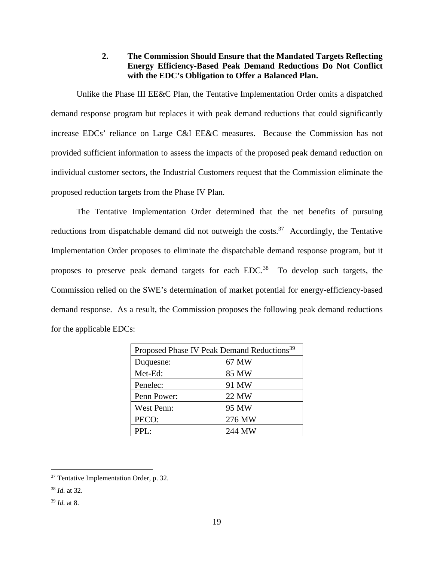# **2. The Commission Should Ensure that the Mandated Targets Reflecting Energy Efficiency-Based Peak Demand Reductions Do Not Conflict with the EDC's Obligation to Offer a Balanced Plan.**

Unlike the Phase III EE&C Plan, the Tentative Implementation Order omits a dispatched demand response program but replaces it with peak demand reductions that could significantly increase EDCs' reliance on Large C&I EE&C measures. Because the Commission has not provided sufficient information to assess the impacts of the proposed peak demand reduction on individual customer sectors, the Industrial Customers request that the Commission eliminate the proposed reduction targets from the Phase IV Plan.

The Tentative Implementation Order determined that the net benefits of pursuing reductions from dispatchable demand did not outweigh the costs.<sup>37</sup> Accordingly, the Tentative Implementation Order proposes to eliminate the dispatchable demand response program, but it proposes to preserve peak demand targets for each  $EDC<sup>38</sup>$  To develop such targets, the Commission relied on the SWE's determination of market potential for energy-efficiency-based demand response. As a result, the Commission proposes the following peak demand reductions for the applicable EDCs:

| Proposed Phase IV Peak Demand Reductions <sup>39</sup> |        |
|--------------------------------------------------------|--------|
| Duquesne:                                              | 67 MW  |
| Met-Ed:                                                | 85 MW  |
| Penelec:                                               | 91 MW  |
| Penn Power:                                            | 22 MW  |
| <b>West Penn:</b>                                      | 95 MW  |
| PECO:                                                  | 276 MW |
| PPL:                                                   | 244 MW |

<sup>37</sup> Tentative Implementation Order, p. 32.

<sup>38</sup> *Id.* at 32.

<sup>39</sup> *Id.* at 8.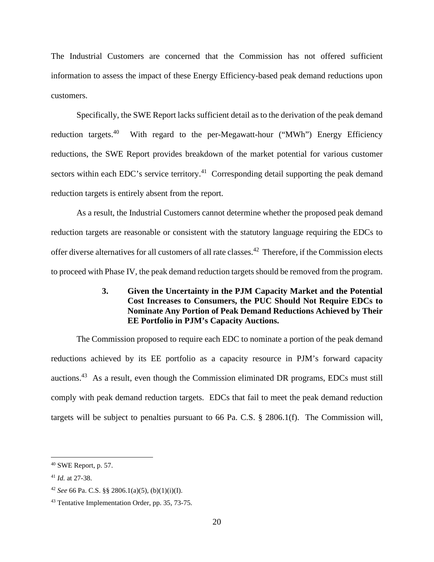The Industrial Customers are concerned that the Commission has not offered sufficient information to assess the impact of these Energy Efficiency-based peak demand reductions upon customers.

Specifically, the SWE Report lacks sufficient detail as to the derivation of the peak demand reduction targets.<sup>40</sup> With regard to the per-Megawatt-hour ("MWh") Energy Efficiency reductions, the SWE Report provides breakdown of the market potential for various customer sectors within each EDC's service territory.<sup>41</sup> Corresponding detail supporting the peak demand reduction targets is entirely absent from the report.

As a result, the Industrial Customers cannot determine whether the proposed peak demand reduction targets are reasonable or consistent with the statutory language requiring the EDCs to offer diverse alternatives for all customers of all rate classes.<sup>42</sup> Therefore, if the Commission elects to proceed with Phase IV, the peak demand reduction targets should be removed from the program.

# **3. Given the Uncertainty in the PJM Capacity Market and the Potential Cost Increases to Consumers, the PUC Should Not Require EDCs to Nominate Any Portion of Peak Demand Reductions Achieved by Their EE Portfolio in PJM's Capacity Auctions.**

The Commission proposed to require each EDC to nominate a portion of the peak demand reductions achieved by its EE portfolio as a capacity resource in PJM's forward capacity auctions.<sup>43</sup> As a result, even though the Commission eliminated DR programs, EDCs must still comply with peak demand reduction targets. EDCs that fail to meet the peak demand reduction targets will be subject to penalties pursuant to 66 Pa. C.S. § 2806.1(f). The Commission will,

<sup>40</sup> SWE Report, p. 57.

<sup>41</sup> *Id.* at 27-38.

<sup>42</sup> *See* 66 Pa. C.S. §§ 2806.1(a)(5), (b)(1)(i)(I).

<sup>43</sup> Tentative Implementation Order, pp. 35, 73-75.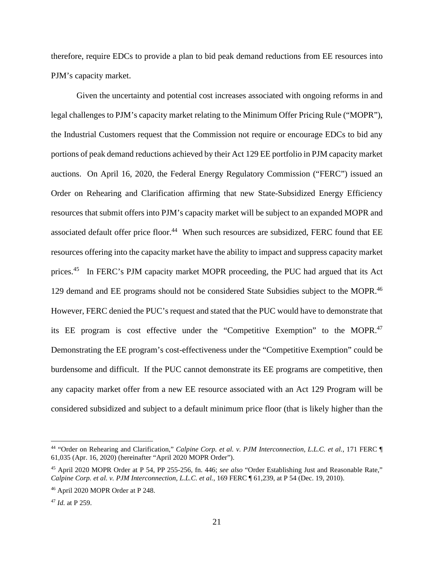therefore, require EDCs to provide a plan to bid peak demand reductions from EE resources into PJM's capacity market.

Given the uncertainty and potential cost increases associated with ongoing reforms in and legal challenges to PJM's capacity market relating to the Minimum Offer Pricing Rule ("MOPR"), the Industrial Customers request that the Commission not require or encourage EDCs to bid any portions of peak demand reductions achieved by their Act 129 EE portfolio in PJM capacity market auctions. On April 16, 2020, the Federal Energy Regulatory Commission ("FERC") issued an Order on Rehearing and Clarification affirming that new State-Subsidized Energy Efficiency resources that submit offers into PJM's capacity market will be subject to an expanded MOPR and associated default offer price floor.<sup>44</sup> When such resources are subsidized, FERC found that EE resources offering into the capacity market have the ability to impact and suppress capacity market prices.<sup>45</sup> In FERC's PJM capacity market MOPR proceeding, the PUC had argued that its Act 129 demand and EE programs should not be considered State Subsidies subject to the MOPR.<sup>46</sup> However, FERC denied the PUC's request and stated that the PUC would have to demonstrate that its EE program is cost effective under the "Competitive Exemption" to the MOPR.<sup>47</sup> Demonstrating the EE program's cost-effectiveness under the "Competitive Exemption" could be burdensome and difficult. If the PUC cannot demonstrate its EE programs are competitive, then any capacity market offer from a new EE resource associated with an Act 129 Program will be considered subsidized and subject to a default minimum price floor (that is likely higher than the

<sup>44</sup> "Order on Rehearing and Clarification," *Calpine Corp. et al. v. PJM Interconnection, L.L.C. et al.*, 171 FERC ¶ 61,035 (Apr. 16, 2020) (hereinafter "April 2020 MOPR Order").

<sup>45</sup> April 2020 MOPR Order at P 54, PP 255-256, fn. 446; *see also* "Order Establishing Just and Reasonable Rate," *Calpine Corp. et al. v. PJM Interconnection, L.L.C. et al.*, 169 FERC ¶ 61,239, at P 54 (Dec. 19, 2010).

<sup>46</sup> April 2020 MOPR Order at P 248.

<sup>47</sup> *Id.* at P 259.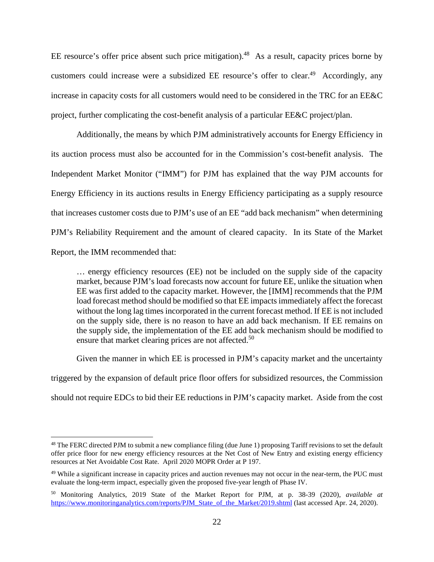EE resource's offer price absent such price mitigation).<sup>48</sup> As a result, capacity prices borne by customers could increase were a subsidized EE resource's offer to clear.<sup>49</sup> Accordingly, any increase in capacity costs for all customers would need to be considered in the TRC for an EE&C project, further complicating the cost-benefit analysis of a particular EE&C project/plan.

Additionally, the means by which PJM administratively accounts for Energy Efficiency in its auction process must also be accounted for in the Commission's cost-benefit analysis. The Independent Market Monitor ("IMM") for PJM has explained that the way PJM accounts for Energy Efficiency in its auctions results in Energy Efficiency participating as a supply resource that increases customer costs due to PJM's use of an EE "add back mechanism" when determining PJM's Reliability Requirement and the amount of cleared capacity. In its State of the Market Report, the IMM recommended that:

… energy efficiency resources (EE) not be included on the supply side of the capacity market, because PJM's load forecasts now account for future EE, unlike the situation when EE was first added to the capacity market. However, the [IMM] recommends that the PJM load forecast method should be modified so that EE impacts immediately affect the forecast without the long lag times incorporated in the current forecast method. If EE is not included on the supply side, there is no reason to have an add back mechanism. If EE remains on the supply side, the implementation of the EE add back mechanism should be modified to ensure that market clearing prices are not affected.<sup>50</sup>

Given the manner in which EE is processed in PJM's capacity market and the uncertainty triggered by the expansion of default price floor offers for subsidized resources, the Commission should not require EDCs to bid their EE reductions in PJM's capacity market. Aside from the cost

<sup>&</sup>lt;sup>48</sup> The FERC directed PJM to submit a new compliance filing (due June 1) proposing Tariff revisions to set the default offer price floor for new energy efficiency resources at the Net Cost of New Entry and existing energy efficiency resources at Net Avoidable Cost Rate. April 2020 MOPR Order at P 197.

<sup>&</sup>lt;sup>49</sup> While a significant increase in capacity prices and auction revenues may not occur in the near-term, the PUC must evaluate the long-term impact, especially given the proposed five-year length of Phase IV.

<sup>50</sup> Monitoring Analytics, 2019 State of the Market Report for PJM, at p. 38-39 (2020), *available at* https://www.monitoringanalytics.com/reports/PJM\_State\_of\_the\_Market/2019.shtml (last accessed Apr. 24, 2020).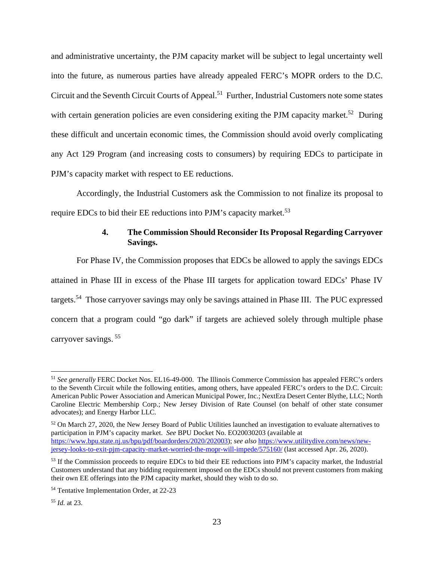and administrative uncertainty, the PJM capacity market will be subject to legal uncertainty well into the future, as numerous parties have already appealed FERC's MOPR orders to the D.C. Circuit and the Seventh Circuit Courts of Appeal.<sup>51</sup> Further, Industrial Customers note some states with certain generation policies are even considering exiting the PJM capacity market.<sup>52</sup> During these difficult and uncertain economic times, the Commission should avoid overly complicating any Act 129 Program (and increasing costs to consumers) by requiring EDCs to participate in PJM's capacity market with respect to EE reductions.

Accordingly, the Industrial Customers ask the Commission to not finalize its proposal to require EDCs to bid their EE reductions into PJM's capacity market.<sup>53</sup>

### **4. The Commission Should Reconsider Its Proposal Regarding Carryover Savings.**

For Phase IV, the Commission proposes that EDCs be allowed to apply the savings EDCs attained in Phase III in excess of the Phase III targets for application toward EDCs' Phase IV targets.<sup>54</sup> Those carryover savings may only be savings attained in Phase III. The PUC expressed concern that a program could "go dark" if targets are achieved solely through multiple phase carryover savings.<sup>55</sup>

<sup>51</sup> *See generally* FERC Docket Nos. EL16-49-000. The Illinois Commerce Commission has appealed FERC's orders to the Seventh Circuit while the following entities, among others, have appealed FERC's orders to the D.C. Circuit: American Public Power Association and American Municipal Power, Inc.; NextEra Desert Center Blythe, LLC; North Caroline Electric Membership Corp.; New Jersey Division of Rate Counsel (on behalf of other state consumer advocates); and Energy Harbor LLC.

<sup>52</sup> On March 27, 2020, the New Jersey Board of Public Utilities launched an investigation to evaluate alternatives to participation in PJM's capacity market. *See* BPU Docket No. EO20030203 (available at https://www.bpu.state.nj.us/bpu/pdf/boardorders/2020/202003); *see also* https://www.utilitydive.com/news/newjersey-looks-to-exit-pjm-capacity-market-worried-the-mopr-will-impede/575160/ (last accessed Apr. 26, 2020).

<sup>&</sup>lt;sup>53</sup> If the Commission proceeds to require EDCs to bid their EE reductions into PJM's capacity market, the Industrial Customers understand that any bidding requirement imposed on the EDCs should not prevent customers from making their own EE offerings into the PJM capacity market, should they wish to do so.

<sup>54</sup> Tentative Implementation Order, at 22-23

<sup>55</sup> *Id.* at 23.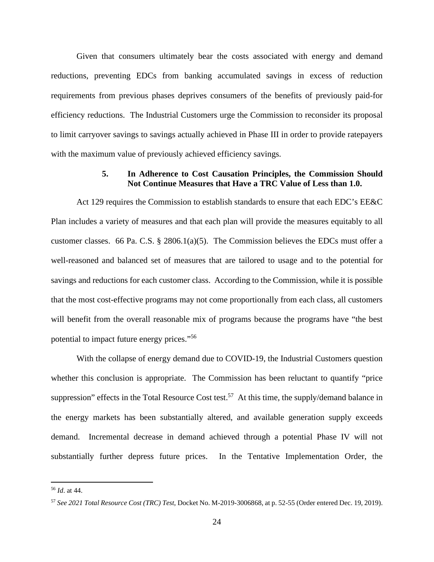Given that consumers ultimately bear the costs associated with energy and demand reductions, preventing EDCs from banking accumulated savings in excess of reduction requirements from previous phases deprives consumers of the benefits of previously paid-for efficiency reductions. The Industrial Customers urge the Commission to reconsider its proposal to limit carryover savings to savings actually achieved in Phase III in order to provide ratepayers with the maximum value of previously achieved efficiency savings.

#### **5. In Adherence to Cost Causation Principles, the Commission Should Not Continue Measures that Have a TRC Value of Less than 1.0.**

Act 129 requires the Commission to establish standards to ensure that each EDC's EE&C Plan includes a variety of measures and that each plan will provide the measures equitably to all customer classes. 66 Pa. C.S. § 2806.1(a)(5). The Commission believes the EDCs must offer a well-reasoned and balanced set of measures that are tailored to usage and to the potential for savings and reductions for each customer class. According to the Commission, while it is possible that the most cost-effective programs may not come proportionally from each class, all customers will benefit from the overall reasonable mix of programs because the programs have "the best" potential to impact future energy prices."<sup>56</sup>

With the collapse of energy demand due to COVID-19, the Industrial Customers question whether this conclusion is appropriate. The Commission has been reluctant to quantify "price suppression" effects in the Total Resource Cost test.<sup>57</sup> At this time, the supply/demand balance in the energy markets has been substantially altered, and available generation supply exceeds demand. Incremental decrease in demand achieved through a potential Phase IV will not substantially further depress future prices. In the Tentative Implementation Order, the

<sup>56</sup> *Id*. at 44.

<sup>57</sup> *See 2021 Total Resource Cost (TRC) Test*, Docket No. M-2019-3006868, at p. 52-55 (Order entered Dec. 19, 2019).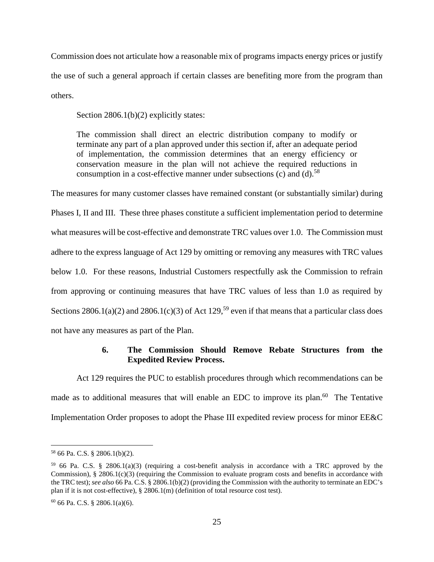Commission does not articulate how a reasonable mix of programs impacts energy prices or justify the use of such a general approach if certain classes are benefiting more from the program than others.

Section 2806.1(b)(2) explicitly states:

The commission shall direct an electric distribution company to modify or terminate any part of a plan approved under this section if, after an adequate period of implementation, the commission determines that an energy efficiency or conservation measure in the plan will not achieve the required reductions in consumption in a cost-effective manner under subsections (c) and (d).<sup>58</sup>

The measures for many customer classes have remained constant (or substantially similar) during Phases I, II and III. These three phases constitute a sufficient implementation period to determine what measures will be cost-effective and demonstrate TRC values over 1.0. The Commission must adhere to the express language of Act 129 by omitting or removing any measures with TRC values below 1.0. For these reasons, Industrial Customers respectfully ask the Commission to refrain from approving or continuing measures that have TRC values of less than 1.0 as required by Sections 2806.1(a)(2) and 2806.1(c)(3) of Act 129,<sup>59</sup> even if that means that a particular class does not have any measures as part of the Plan.

# **6. The Commission Should Remove Rebate Structures from the Expedited Review Process.**

Act 129 requires the PUC to establish procedures through which recommendations can be made as to additional measures that will enable an EDC to improve its plan.<sup>60</sup> The Tentative Implementation Order proposes to adopt the Phase III expedited review process for minor EE&C

<sup>58</sup> 66 Pa. C.S. § 2806.1(b)(2).

 $59\,66$  Pa. C.S. § 2806.1(a)(3) (requiring a cost-benefit analysis in accordance with a TRC approved by the Commission),  $\S 2806.1(c)(3)$  (requiring the Commission to evaluate program costs and benefits in accordance with the TRC test); *see also* 66 Pa. C.S. § 2806.1(b)(2) (providing the Commission with the authority to terminate an EDC's plan if it is not cost-effective), § 2806.1(m) (definition of total resource cost test).

 $60$  66 Pa. C.S. § 2806.1(a)(6).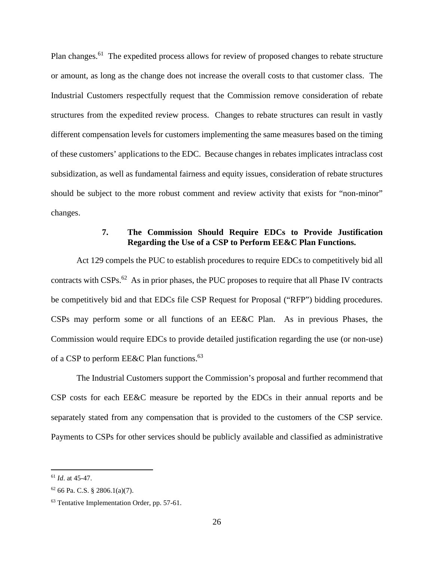Plan changes.<sup>61</sup> The expedited process allows for review of proposed changes to rebate structure or amount, as long as the change does not increase the overall costs to that customer class. The Industrial Customers respectfully request that the Commission remove consideration of rebate structures from the expedited review process. Changes to rebate structures can result in vastly different compensation levels for customers implementing the same measures based on the timing of these customers' applications to the EDC. Because changes in rebates implicates intraclass cost subsidization, as well as fundamental fairness and equity issues, consideration of rebate structures should be subject to the more robust comment and review activity that exists for "non-minor" changes.

# **7. The Commission Should Require EDCs to Provide Justification Regarding the Use of a CSP to Perform EE&C Plan Functions.**

Act 129 compels the PUC to establish procedures to require EDCs to competitively bid all contracts with CSPs.<sup>62</sup> As in prior phases, the PUC proposes to require that all Phase IV contracts be competitively bid and that EDCs file CSP Request for Proposal ("RFP") bidding procedures. CSPs may perform some or all functions of an EE&C Plan. As in previous Phases, the Commission would require EDCs to provide detailed justification regarding the use (or non-use) of a CSP to perform EE&C Plan functions.<sup>63</sup>

The Industrial Customers support the Commission's proposal and further recommend that CSP costs for each EE&C measure be reported by the EDCs in their annual reports and be separately stated from any compensation that is provided to the customers of the CSP service. Payments to CSPs for other services should be publicly available and classified as administrative

<sup>61</sup> *Id*. at 45-47.

 $62$  66 Pa. C.S. § 2806.1(a)(7).

<sup>63</sup> Tentative Implementation Order, pp. 57-61.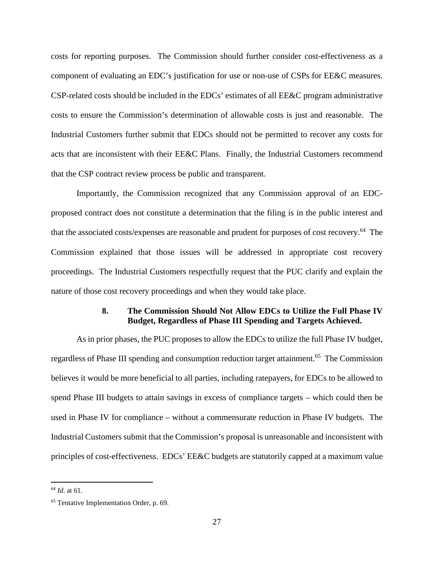costs for reporting purposes. The Commission should further consider cost-effectiveness as a component of evaluating an EDC's justification for use or non-use of CSPs for EE&C measures. CSP-related costs should be included in the EDCs' estimates of all EE&C program administrative costs to ensure the Commission's determination of allowable costs is just and reasonable. The Industrial Customers further submit that EDCs should not be permitted to recover any costs for acts that are inconsistent with their EE&C Plans. Finally, the Industrial Customers recommend that the CSP contract review process be public and transparent.

Importantly, the Commission recognized that any Commission approval of an EDCproposed contract does not constitute a determination that the filing is in the public interest and that the associated costs/expenses are reasonable and prudent for purposes of cost recovery.<sup>64</sup> The Commission explained that those issues will be addressed in appropriate cost recovery proceedings. The Industrial Customers respectfully request that the PUC clarify and explain the nature of those cost recovery proceedings and when they would take place.

### **8. The Commission Should Not Allow EDCs to Utilize the Full Phase IV Budget, Regardless of Phase III Spending and Targets Achieved.**

As in prior phases, the PUC proposes to allow the EDCs to utilize the full Phase IV budget, regardless of Phase III spending and consumption reduction target attainment.<sup>65</sup> The Commission believes it would be more beneficial to all parties, including ratepayers, for EDCs to be allowed to spend Phase III budgets to attain savings in excess of compliance targets – which could then be used in Phase IV for compliance – without a commensurate reduction in Phase IV budgets. The Industrial Customers submit that the Commission's proposal is unreasonable and inconsistent with principles of cost-effectiveness. EDCs' EE&C budgets are statutorily capped at a maximum value

<sup>64</sup> *Id*. at 61.

<sup>65</sup> Tentative Implementation Order, p. 69.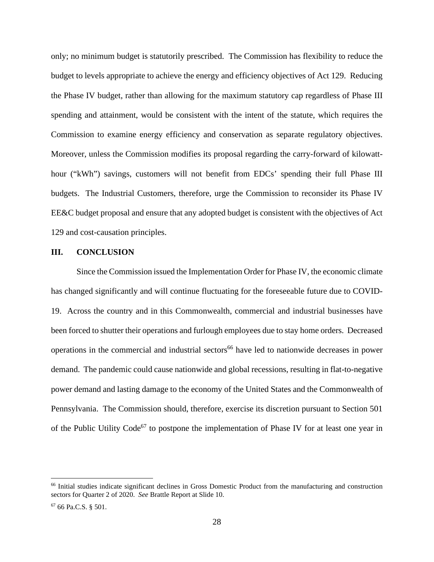only; no minimum budget is statutorily prescribed. The Commission has flexibility to reduce the budget to levels appropriate to achieve the energy and efficiency objectives of Act 129. Reducing the Phase IV budget, rather than allowing for the maximum statutory cap regardless of Phase III spending and attainment, would be consistent with the intent of the statute, which requires the Commission to examine energy efficiency and conservation as separate regulatory objectives. Moreover, unless the Commission modifies its proposal regarding the carry-forward of kilowatthour ("kWh") savings, customers will not benefit from EDCs' spending their full Phase III budgets. The Industrial Customers, therefore, urge the Commission to reconsider its Phase IV EE&C budget proposal and ensure that any adopted budget is consistent with the objectives of Act 129 and cost-causation principles.

#### **III. CONCLUSION**

Since the Commission issued the Implementation Order for Phase IV, the economic climate has changed significantly and will continue fluctuating for the foreseeable future due to COVID-19. Across the country and in this Commonwealth, commercial and industrial businesses have been forced to shutter their operations and furlough employees due to stay home orders. Decreased operations in the commercial and industrial sectors<sup>66</sup> have led to nationwide decreases in power demand. The pandemic could cause nationwide and global recessions, resulting in flat-to-negative power demand and lasting damage to the economy of the United States and the Commonwealth of Pennsylvania. The Commission should, therefore, exercise its discretion pursuant to Section 501 of the Public Utility Code<sup>67</sup> to postpone the implementation of Phase IV for at least one year in

<sup>66</sup> Initial studies indicate significant declines in Gross Domestic Product from the manufacturing and construction sectors for Quarter 2 of 2020. *See* Brattle Report at Slide 10.

<sup>67</sup> 66 Pa.C.S. § 501.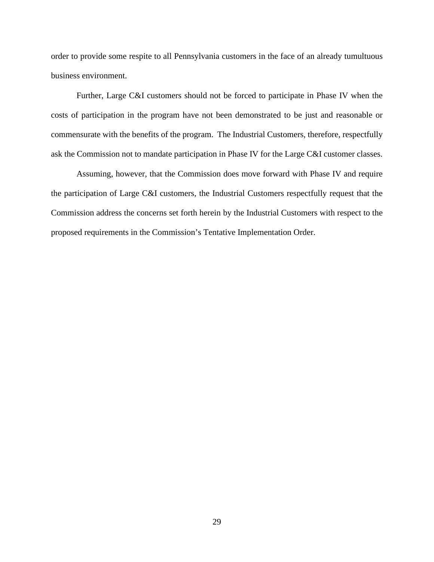order to provide some respite to all Pennsylvania customers in the face of an already tumultuous business environment.

Further, Large C&I customers should not be forced to participate in Phase IV when the costs of participation in the program have not been demonstrated to be just and reasonable or commensurate with the benefits of the program. The Industrial Customers, therefore, respectfully ask the Commission not to mandate participation in Phase IV for the Large C&I customer classes.

Assuming, however, that the Commission does move forward with Phase IV and require the participation of Large C&I customers, the Industrial Customers respectfully request that the Commission address the concerns set forth herein by the Industrial Customers with respect to the proposed requirements in the Commission's Tentative Implementation Order.